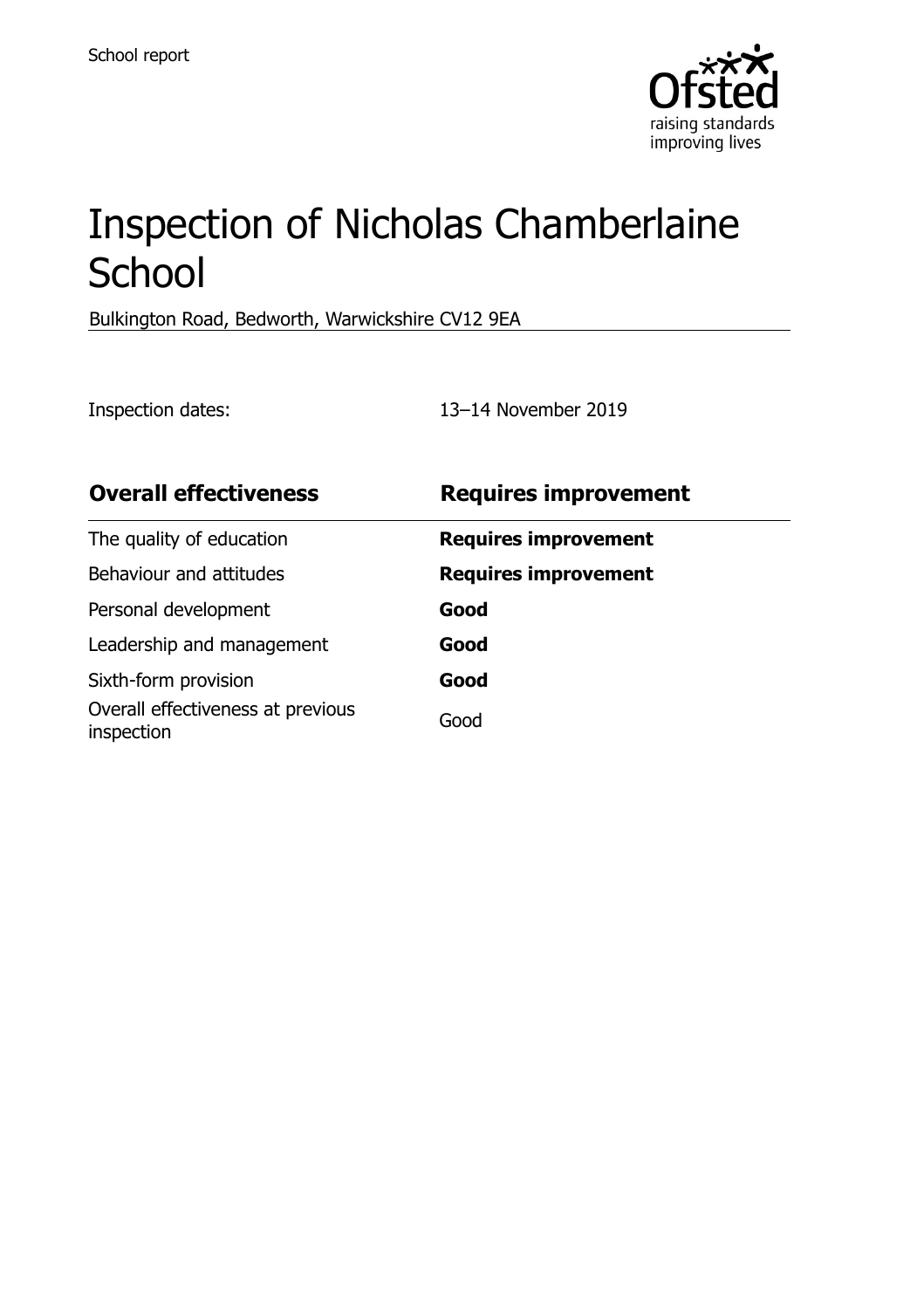

# Inspection of Nicholas Chamberlaine **School**

Bulkington Road, Bedworth, Warwickshire CV12 9EA

Inspection dates: 13–14 November 2019

| <b>Overall effectiveness</b>                    | <b>Requires improvement</b> |
|-------------------------------------------------|-----------------------------|
| The quality of education                        | <b>Requires improvement</b> |
| Behaviour and attitudes                         | <b>Requires improvement</b> |
| Personal development                            | Good                        |
| Leadership and management                       | Good                        |
| Sixth-form provision                            | Good                        |
| Overall effectiveness at previous<br>inspection | Good                        |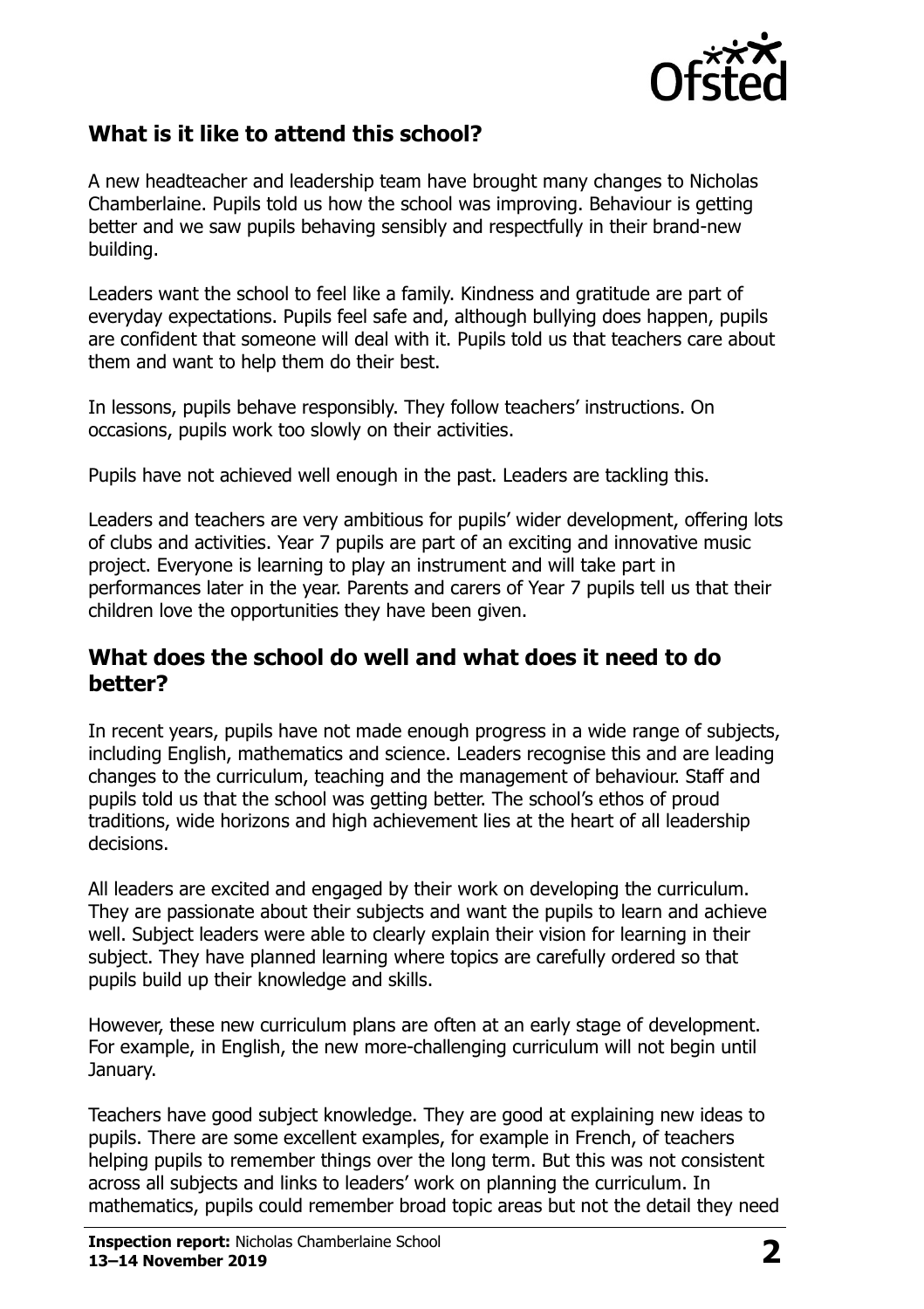

# **What is it like to attend this school?**

A new headteacher and leadership team have brought many changes to Nicholas Chamberlaine. Pupils told us how the school was improving. Behaviour is getting better and we saw pupils behaving sensibly and respectfully in their brand-new building.

Leaders want the school to feel like a family. Kindness and gratitude are part of everyday expectations. Pupils feel safe and, although bullying does happen, pupils are confident that someone will deal with it. Pupils told us that teachers care about them and want to help them do their best.

In lessons, pupils behave responsibly. They follow teachers' instructions. On occasions, pupils work too slowly on their activities.

Pupils have not achieved well enough in the past. Leaders are tackling this.

Leaders and teachers are very ambitious for pupils' wider development, offering lots of clubs and activities. Year 7 pupils are part of an exciting and innovative music project. Everyone is learning to play an instrument and will take part in performances later in the year. Parents and carers of Year 7 pupils tell us that their children love the opportunities they have been given.

#### **What does the school do well and what does it need to do better?**

In recent years, pupils have not made enough progress in a wide range of subjects, including English, mathematics and science. Leaders recognise this and are leading changes to the curriculum, teaching and the management of behaviour. Staff and pupils told us that the school was getting better. The school's ethos of proud traditions, wide horizons and high achievement lies at the heart of all leadership decisions.

All leaders are excited and engaged by their work on developing the curriculum. They are passionate about their subjects and want the pupils to learn and achieve well. Subject leaders were able to clearly explain their vision for learning in their subject. They have planned learning where topics are carefully ordered so that pupils build up their knowledge and skills.

However, these new curriculum plans are often at an early stage of development. For example, in English, the new more-challenging curriculum will not begin until January.

Teachers have good subject knowledge. They are good at explaining new ideas to pupils. There are some excellent examples, for example in French, of teachers helping pupils to remember things over the long term. But this was not consistent across all subjects and links to leaders' work on planning the curriculum. In mathematics, pupils could remember broad topic areas but not the detail they need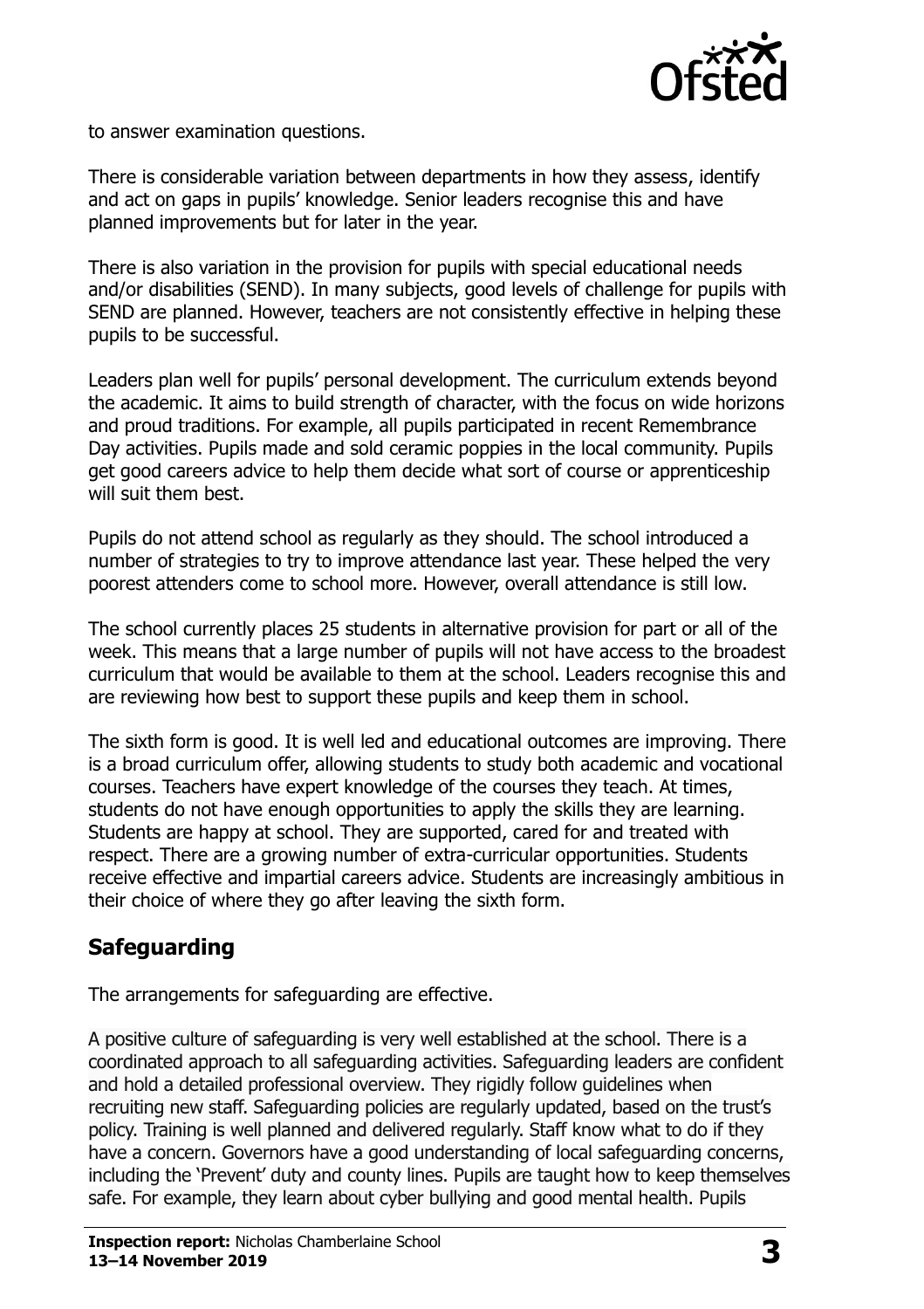

to answer examination questions.

There is considerable variation between departments in how they assess, identify and act on gaps in pupils' knowledge. Senior leaders recognise this and have planned improvements but for later in the year.

There is also variation in the provision for pupils with special educational needs and/or disabilities (SEND). In many subjects, good levels of challenge for pupils with SEND are planned. However, teachers are not consistently effective in helping these pupils to be successful.

Leaders plan well for pupils' personal development. The curriculum extends beyond the academic. It aims to build strength of character, with the focus on wide horizons and proud traditions. For example, all pupils participated in recent Remembrance Day activities. Pupils made and sold ceramic poppies in the local community. Pupils get good careers advice to help them decide what sort of course or apprenticeship will suit them best.

Pupils do not attend school as regularly as they should. The school introduced a number of strategies to try to improve attendance last year. These helped the very poorest attenders come to school more. However, overall attendance is still low.

The school currently places 25 students in alternative provision for part or all of the week. This means that a large number of pupils will not have access to the broadest curriculum that would be available to them at the school. Leaders recognise this and are reviewing how best to support these pupils and keep them in school.

The sixth form is good. It is well led and educational outcomes are improving. There is a broad curriculum offer, allowing students to study both academic and vocational courses. Teachers have expert knowledge of the courses they teach. At times, students do not have enough opportunities to apply the skills they are learning. Students are happy at school. They are supported, cared for and treated with respect. There are a growing number of extra-curricular opportunities. Students receive effective and impartial careers advice. Students are increasingly ambitious in their choice of where they go after leaving the sixth form.

# **Safeguarding**

The arrangements for safeguarding are effective.

A positive culture of safeguarding is very well established at the school. There is a coordinated approach to all safeguarding activities. Safeguarding leaders are confident and hold a detailed professional overview. They rigidly follow guidelines when recruiting new staff. Safeguarding policies are regularly updated, based on the trust's policy. Training is well planned and delivered regularly. Staff know what to do if they have a concern. Governors have a good understanding of local safeguarding concerns, including the 'Prevent' duty and county lines. Pupils are taught how to keep themselves safe. For example, they learn about cyber bullying and good mental health. Pupils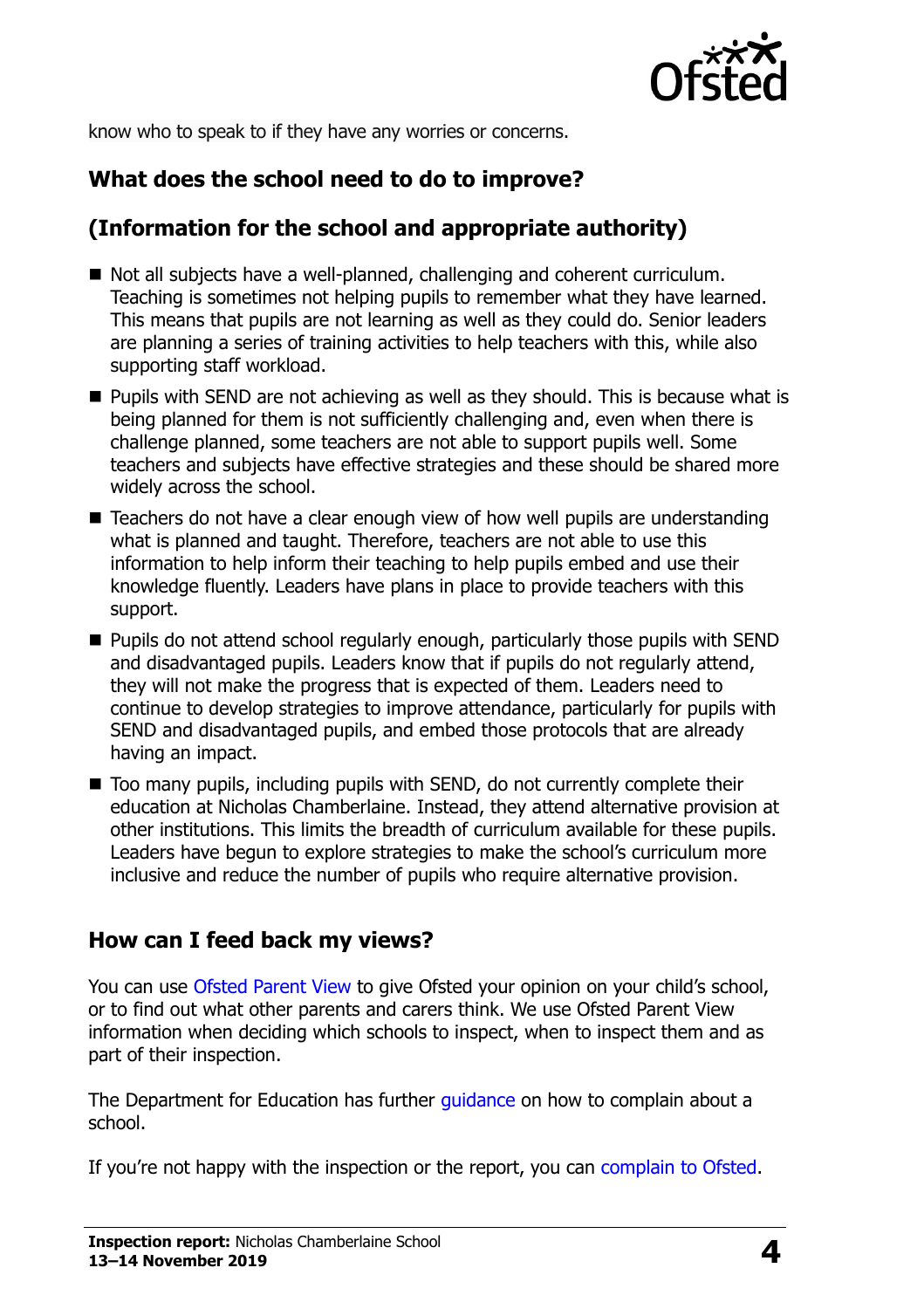

know who to speak to if they have any worries or concerns.

# **What does the school need to do to improve?**

### **(Information for the school and appropriate authority)**

- Not all subjects have a well-planned, challenging and coherent curriculum. Teaching is sometimes not helping pupils to remember what they have learned. This means that pupils are not learning as well as they could do. Senior leaders are planning a series of training activities to help teachers with this, while also supporting staff workload.
- **Pupils with SEND are not achieving as well as they should. This is because what is** being planned for them is not sufficiently challenging and, even when there is challenge planned, some teachers are not able to support pupils well. Some teachers and subjects have effective strategies and these should be shared more widely across the school.
- Teachers do not have a clear enough view of how well pupils are understanding what is planned and taught. Therefore, teachers are not able to use this information to help inform their teaching to help pupils embed and use their knowledge fluently. Leaders have plans in place to provide teachers with this support.
- **Pupils do not attend school regularly enough, particularly those pupils with SEND** and disadvantaged pupils. Leaders know that if pupils do not regularly attend, they will not make the progress that is expected of them. Leaders need to continue to develop strategies to improve attendance, particularly for pupils with SEND and disadvantaged pupils, and embed those protocols that are already having an impact.
- Too many pupils, including pupils with SEND, do not currently complete their education at Nicholas Chamberlaine. Instead, they attend alternative provision at other institutions. This limits the breadth of curriculum available for these pupils. Leaders have begun to explore strategies to make the school's curriculum more inclusive and reduce the number of pupils who require alternative provision.

### **How can I feed back my views?**

You can use [Ofsted Parent View](http://parentview.ofsted.gov.uk/) to give Ofsted your opinion on your child's school, or to find out what other parents and carers think. We use Ofsted Parent View information when deciding which schools to inspect, when to inspect them and as part of their inspection.

The Department for Education has further quidance on how to complain about a school.

If you're not happy with the inspection or the report, you can [complain to Ofsted.](http://www.gov.uk/complain-ofsted-report)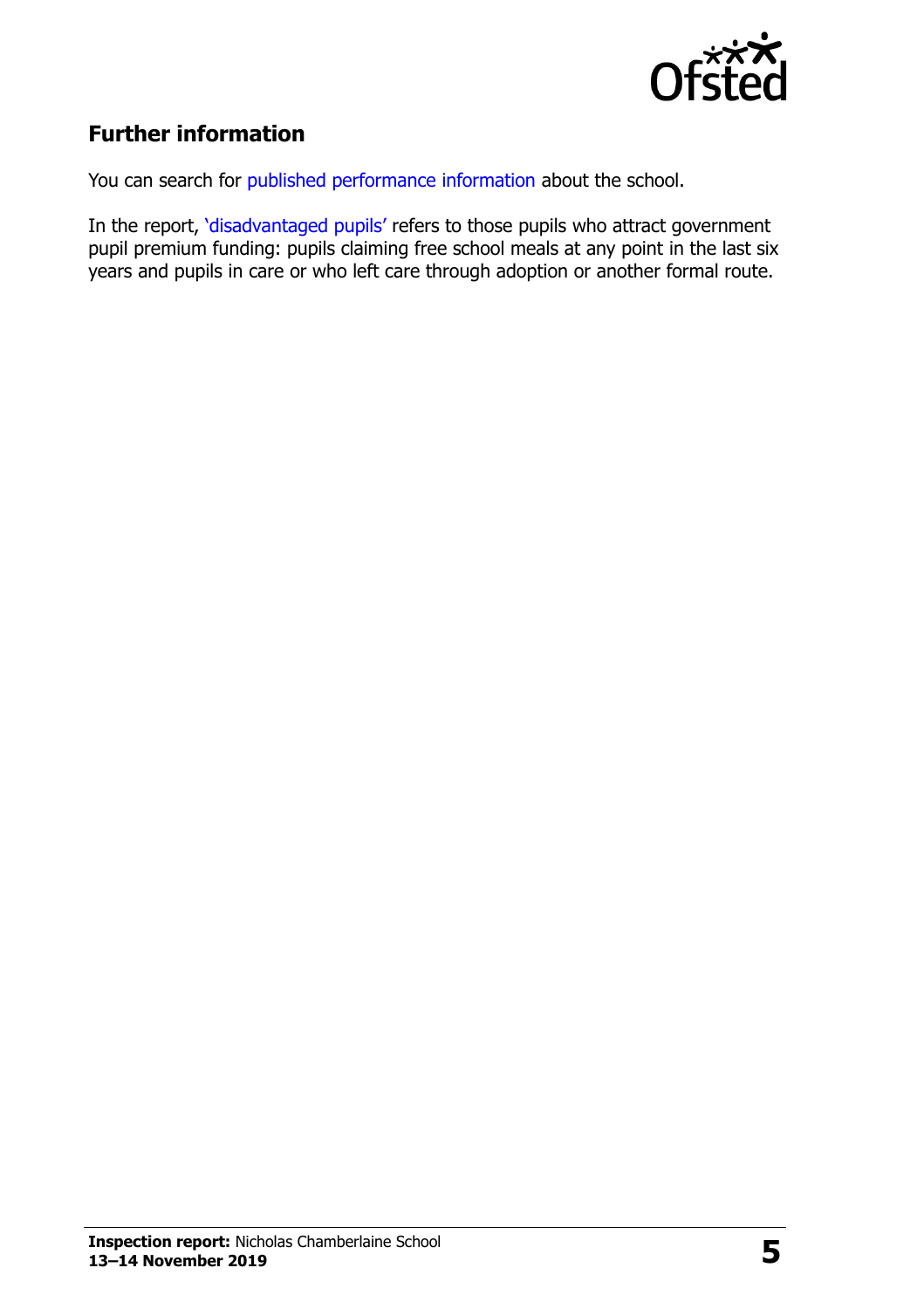

# **Further information**

You can search for [published performance information](http://www.compare-school-performance.service.gov.uk/) about the school.

In the report, '[disadvantaged pupils](http://www.gov.uk/guidance/pupil-premium-information-for-schools-and-alternative-provision-settings)' refers to those pupils who attract government pupil premium funding: pupils claiming free school meals at any point in the last six years and pupils in care or who left care through adoption or another formal route.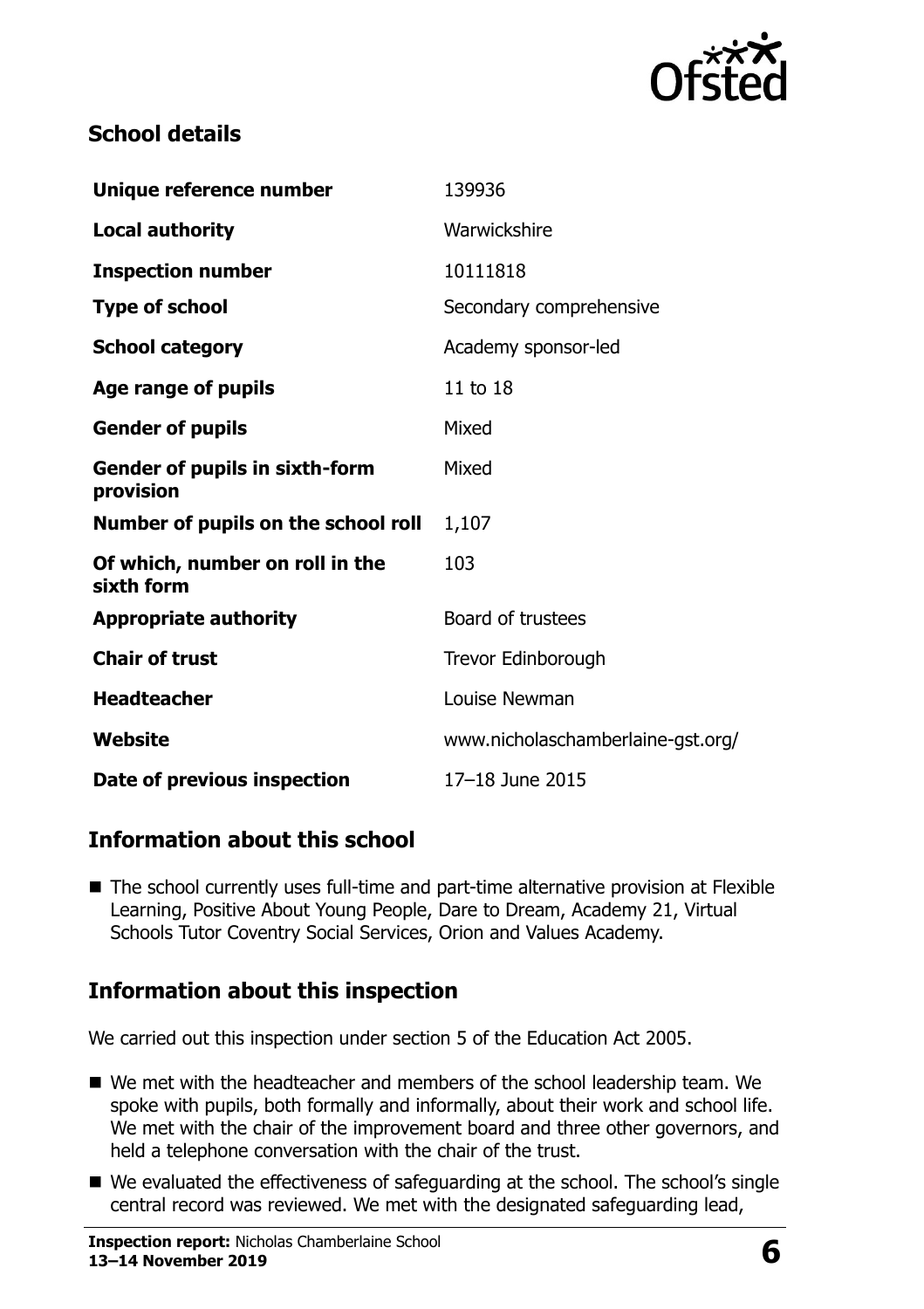

# **School details**

| Unique reference number                            | 139936                            |  |
|----------------------------------------------------|-----------------------------------|--|
| <b>Local authority</b>                             | Warwickshire                      |  |
| <b>Inspection number</b>                           | 10111818                          |  |
| <b>Type of school</b>                              | Secondary comprehensive           |  |
| <b>School category</b>                             | Academy sponsor-led               |  |
| Age range of pupils                                | 11 to 18                          |  |
| <b>Gender of pupils</b>                            | Mixed                             |  |
| <b>Gender of pupils in sixth-form</b><br>provision | Mixed                             |  |
| Number of pupils on the school roll                | 1,107                             |  |
| Of which, number on roll in the<br>sixth form      | 103                               |  |
| <b>Appropriate authority</b>                       | Board of trustees                 |  |
| <b>Chair of trust</b>                              | Trevor Edinborough                |  |
| <b>Headteacher</b>                                 | Louise Newman                     |  |
| Website                                            | www.nicholaschamberlaine-gst.org/ |  |
| Date of previous inspection                        | 17-18 June 2015                   |  |

# **Information about this school**

■ The school currently uses full-time and part-time alternative provision at Flexible Learning, Positive About Young People, Dare to Dream, Academy 21, Virtual Schools Tutor Coventry Social Services, Orion and Values Academy.

### **Information about this inspection**

We carried out this inspection under section 5 of the Education Act 2005.

- We met with the headteacher and members of the school leadership team. We spoke with pupils, both formally and informally, about their work and school life. We met with the chair of the improvement board and three other governors, and held a telephone conversation with the chair of the trust.
- We evaluated the effectiveness of safeguarding at the school. The school's single central record was reviewed. We met with the designated safeguarding lead,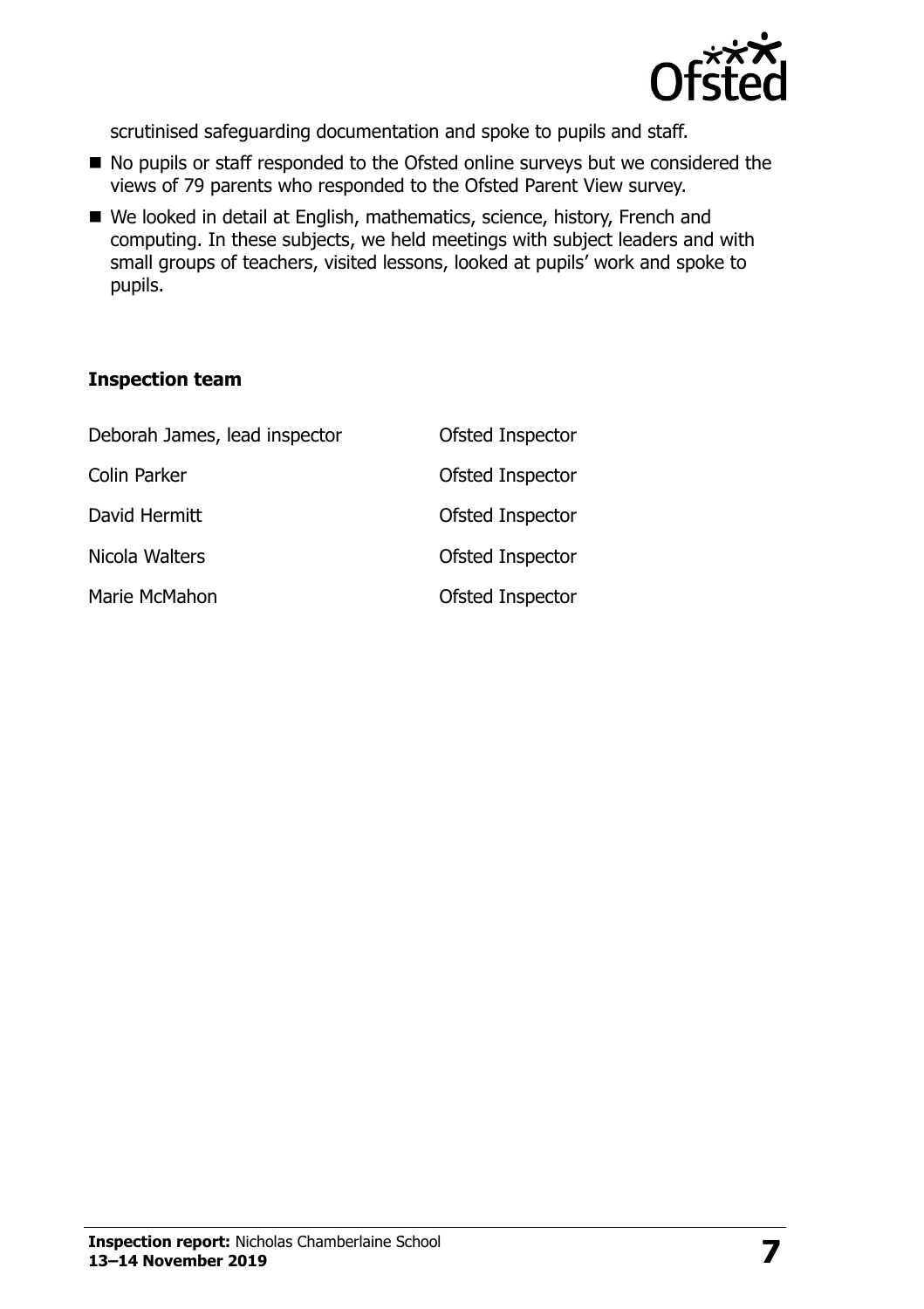

scrutinised safeguarding documentation and spoke to pupils and staff.

- No pupils or staff responded to the Ofsted online surveys but we considered the views of 79 parents who responded to the Ofsted Parent View survey.
- We looked in detail at English, mathematics, science, history, French and computing. In these subjects, we held meetings with subject leaders and with small groups of teachers, visited lessons, looked at pupils' work and spoke to pupils.

#### **Inspection team**

| Deborah James, lead inspector | Ofsted Inspector |
|-------------------------------|------------------|
| Colin Parker                  | Ofsted Inspector |
| David Hermitt                 | Ofsted Inspector |
| Nicola Walters                | Ofsted Inspector |
| Marie McMahon                 | Ofsted Inspector |